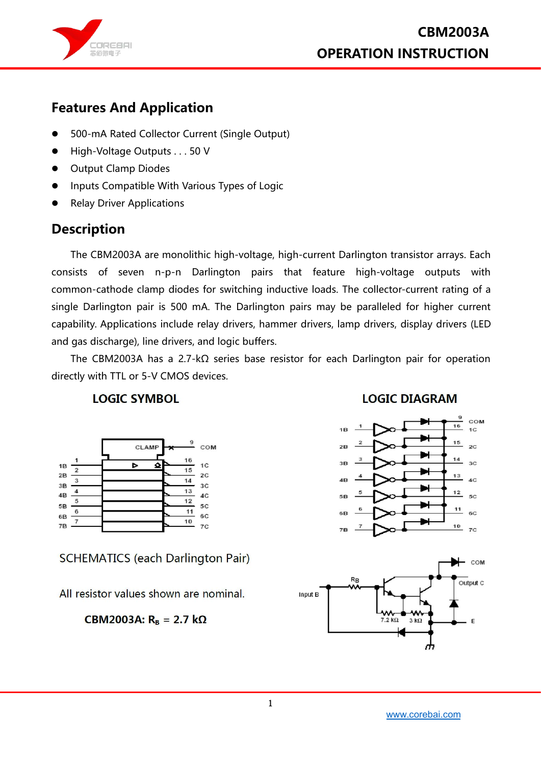

### **Features And Application**

- 500-mA Rated Collector Current (Single Output)
- High-Voltage Outputs . . . 50 V
- **•** Output Clamp Diodes
- Inputs Compatible With Various Types of Logic
- **Relay Driver Applications**

### **Description**

The CBM2003A are monolithic high-voltage, high-current Darlington transistor arrays. Each consists of seven n-p-n Darlington pairs that feature high-voltage outputs with common-cathode clamp diodes for switching inductive loads. The collector-current rating of a single Darlington pair is 500 mA. The Darlington pairs may be paralleled for higher current capability. Applications include relay drivers, hammer drivers, lamp drivers, display drivers (LED and gas discharge), line drivers, and logic buffers.

The CBM2003A has a 2.7-kΩ series base resistor for each Darlington pair for operation directly with TTL or 5-V CMOS devices.

#### **LOGIC SYMBOL**



**SCHEMATICS (each Darlington Pair)** 

All resistor values shown are nominal.

CBM2003A: R<sub>B</sub> = 2.7 kΩ

**LOGIC DIAGRAM** 



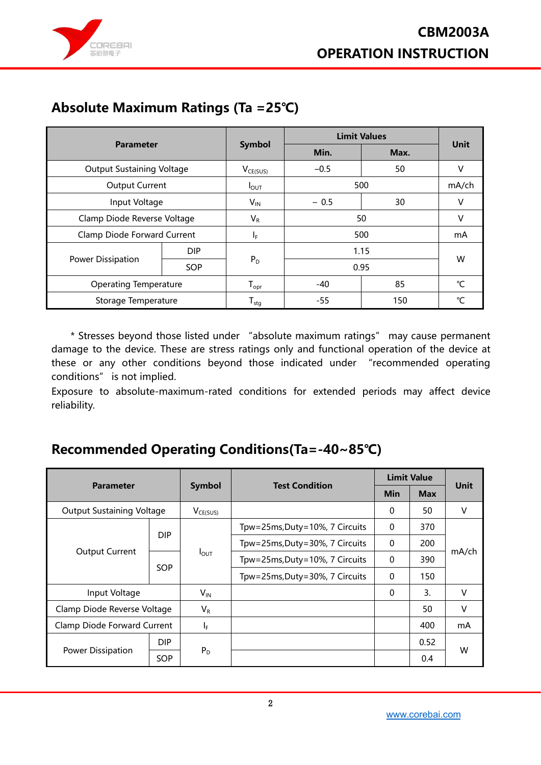

# **Absolute Maximum Ratings (Ta =25℃)**

|                                  | <b>Parameter</b> |                             | <b>Limit Values</b> |      |                 |  |
|----------------------------------|------------------|-----------------------------|---------------------|------|-----------------|--|
|                                  |                  |                             | Min.                | Max. | <b>Unit</b>     |  |
| <b>Output Sustaining Voltage</b> |                  | $V_{CE(SUS)}$               | 50<br>$-0.5$        |      | V               |  |
| <b>Output Current</b>            |                  | $I_{\text{OUT}}$            | 500                 |      | mA/ch           |  |
| Input Voltage                    |                  | $V_{IN}$                    | $-0.5$              | 30   | V               |  |
| Clamp Diode Reverse Voltage      |                  | $V_R$                       | 50                  |      | V               |  |
| Clamp Diode Forward Current      |                  | IF.                         | 500                 |      | mA              |  |
|                                  | DIP.             |                             |                     | 1.15 |                 |  |
| Power Dissipation                | SOP              | $P_D$                       | 0.95                |      | W               |  |
| <b>Operating Temperature</b>     |                  | $\mathsf{I}_{\mathsf{opr}}$ | $-40$               | 85   | $\rm ^{\circ}C$ |  |
| Storage Temperature              |                  | $T_{\text{stg}}$            | $-55$               | 150  | °C              |  |

\* Stresses beyond those listed under "absolute maximum ratings" may cause permanent damage to the device. These are stress ratings only and functional operation of the device at these or any other conditions beyond those indicated under "recommended operating conditions" is not implied.

Exposure to absolute-maximum-rated conditions for extended periods may affect device reliability.

### **Recommended Operating Conditions(Ta=-40~85℃)**

| <b>Parameter</b>                 |            |                  | <b>Test Condition</b>          | <b>Limit Value</b> |            |                |  |
|----------------------------------|------------|------------------|--------------------------------|--------------------|------------|----------------|--|
|                                  |            | Symbol           |                                | <b>Min</b>         | <b>Max</b> | <b>Unit</b>    |  |
| <b>Output Sustaining Voltage</b> |            | $V_{CE(SUS)}$    |                                | 0                  | 50         | v              |  |
| <b>Output Current</b>            | <b>DIP</b> |                  | Tpw=25ms, Duty=10%, 7 Circuits | $\mathbf 0$        | 370        |                |  |
|                                  |            | $I_{\text{OUT}}$ | Tpw=25ms, Duty=30%, 7 Circuits | $\mathbf 0$        | 200        |                |  |
|                                  | SOP        |                  | Tpw=25ms, Duty=10%, 7 Circuits | $\mathbf 0$        | 390        | mA/ch          |  |
|                                  |            |                  | Tpw=25ms, Duty=30%, 7 Circuits | 0                  | 150        |                |  |
| Input Voltage                    |            | $V_{IN}$         |                                | $\mathbf{0}$       | 3.         | v              |  |
| Clamp Diode Reverse Voltage      |            | $V_R$            |                                |                    | 50         | v              |  |
| Clamp Diode Forward Current      |            | $I_F$            |                                |                    | 400        | m <sub>A</sub> |  |
| Power Dissipation                | DIP.       |                  |                                |                    | 0.52       | W              |  |
|                                  | <b>SOP</b> | $P_D$            |                                |                    | 0.4        |                |  |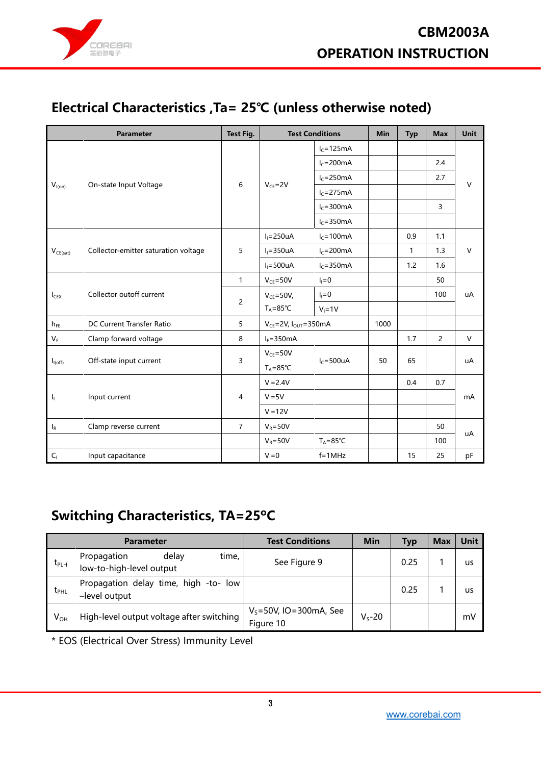

# **Electrical Characteristics ,Ta= 25℃ (unless otherwise noted)**

|                         | <b>Parameter</b>                     |                |                                         | <b>Test Conditions</b> |      |              | <b>Max</b>     | <b>Unit</b>  |  |
|-------------------------|--------------------------------------|----------------|-----------------------------------------|------------------------|------|--------------|----------------|--------------|--|
|                         |                                      |                |                                         | $I_c = 125mA$          |      |              |                |              |  |
|                         |                                      |                |                                         | $I_c = 200 \text{mA}$  |      |              | 2.4            |              |  |
|                         |                                      |                |                                         | $I_c = 250mA$          |      |              | 2.7            |              |  |
| $V_{I(0n)}$             | On-state Input Voltage               | 6              | $V_{CF} = 2V$                           | $I_c = 275mA$          |      |              |                | $\vee$       |  |
|                         |                                      |                |                                         | $I_c = 300 \text{mA}$  |      |              | 3              |              |  |
|                         |                                      |                |                                         | $I_c = 350mA$          |      |              |                |              |  |
|                         |                                      |                | $I_1 = 250uA$                           | $I_c = 100mA$          |      | 0.9          | 1.1            |              |  |
| $V_{CE(sat)}$           | Collector-emitter saturation voltage | 5              | $I_1 = 350uA$                           | $I_c = 200mA$          |      | $\mathbf{1}$ | 1.3            | $\mathsf{V}$ |  |
|                         |                                      |                | $I_1 = 500uA$                           | $I_c = 350mA$          |      | 1.2          | 1.6            |              |  |
|                         |                                      | $\mathbf{1}$   | $V_{CE} = 50V$                          | $I_1 = 0$              |      |              | 50             |              |  |
| $I_{CEX}$               | Collector outoff current             | $\overline{2}$ | $V_{CE} = 50V$ ,<br>$T_A = 85^{\circ}C$ | $I_1=0$                |      |              | 100            | uA           |  |
|                         |                                      |                |                                         | $V_1 = 1V$             |      |              |                |              |  |
| $h_{FE}$                | DC Current Transfer Ratio            | 5              | $V_{CE} = 2V$ , $I_{OUT} = 350mA$       |                        | 1000 |              |                |              |  |
| $\mathsf{V}_\mathsf{F}$ | Clamp forward voltage                | 8              | $I_F = 350mA$                           |                        |      | 1.7          | $\overline{2}$ | $\vee$       |  |
|                         |                                      |                | $V_{CE} = 50V$                          |                        |      |              |                |              |  |
| $I_{I(off)}$            | Off-state input current              | 3              | $T_A = 85^{\circ}C$                     | $I_c = 500uA$          | 50   | 65           |                | uA           |  |
|                         |                                      |                | $V_1 = 2.4V$                            |                        |      | 0.4          | 0.7            |              |  |
| Ч.                      | Input current                        | 4              | $V_1 = 5V$                              |                        |      |              |                | mA           |  |
|                         |                                      |                | $V_i = 12V$                             |                        |      |              |                |              |  |
| $I_R$                   | Clamp reverse current                | $\overline{7}$ | $V_R = 50V$                             |                        |      |              | 50             |              |  |
|                         |                                      |                | $V_R = 50V$                             | $T_A = 85^{\circ}C$    |      |              | 100            | uA           |  |
| $C_1$                   | Input capacitance                    |                | $V_i = 0$                               | $f = 1MHz$             |      | 15           | 25             | pF           |  |

# **Switching Characteristics, TA=25ºC**

|               | <b>Parameter</b>                                          | <b>Test Conditions</b>                   | Min         | <b>Typ</b> | <b>Max</b> | <b>Unit</b> |
|---------------|-----------------------------------------------------------|------------------------------------------|-------------|------------|------------|-------------|
| $t_{\sf PLH}$ | delay<br>Propagation<br>time,<br>low-to-high-level output | See Figure 9                             |             | 0.25       |            | us          |
| $t_{PHL}$     | Propagation delay time, high -to- low<br>-level output    |                                          |             | 0.25       |            | us          |
| $V_{OH}$      | High-level output voltage after switching                 | $V_s = 50V$ , IO=300mA, See<br>Figure 10 | $V_{s}$ -20 |            |            | mV          |

\* EOS (Electrical Over Stress) Immunity Level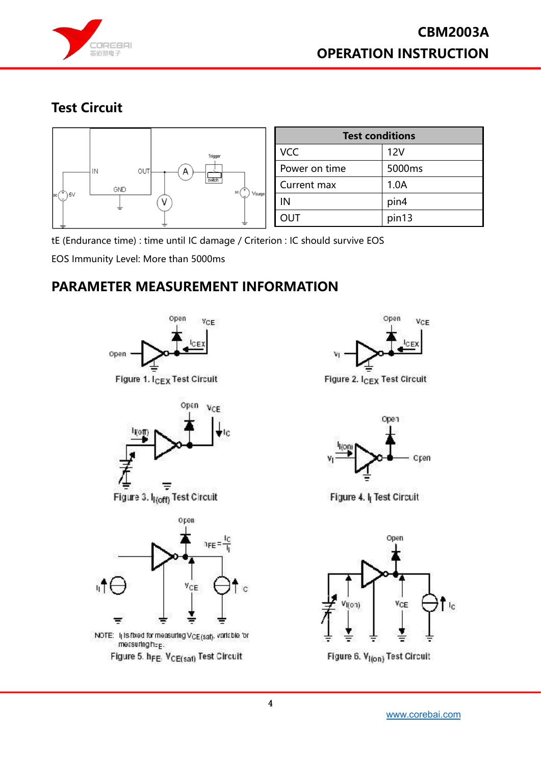

# **Test Circuit**



| <b>Test conditions</b> |        |  |  |  |  |  |
|------------------------|--------|--|--|--|--|--|
| <b>VCC</b>             | 12V    |  |  |  |  |  |
| Power on time          | 5000ms |  |  |  |  |  |
| Current max            | 1.0A   |  |  |  |  |  |
| ΙN                     | pin4   |  |  |  |  |  |
| <b>OUT</b>             | pin13  |  |  |  |  |  |

tE (Endurance time) : time until IC damage / Criterion : IC should survive EOS

EOS Immunity Level: More than 5000ms

### **PARAMETER MEASUREMENT INFORMATION**





NOTE: I<sub>l</sub>lisitixed for measuring V<sub>CE(sat)</sub>, variable for messuringheg. Figure 5. h<sub>FE</sub> V<sub>CE(sat)</sub> Test Circuit





Figure 4. I<sub>I</sub> Test Circuit



Figure 6. V<sub>I(on)</sub> Test Circuit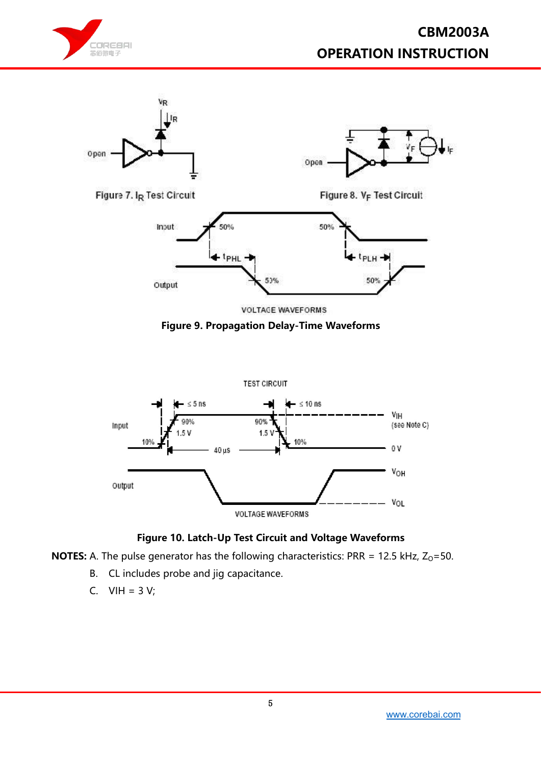



**VOLTAGE WAVEFORMS** 





#### **Figure 10. Latch-Up Test Circuit and Voltage Waveforms**

**NOTES:** A. The pulse generator has the following characteristics: PRR = 12.5 kHz,  $Z_0$ =50.

- B. CL includes probe and jig capacitance.
- C.  $VIH = 3 V;$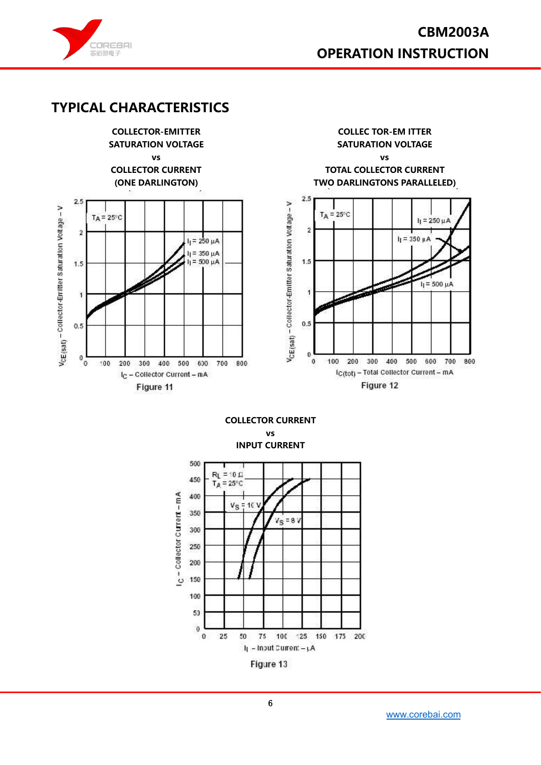

### **TYPICAL CHARACTERISTICS**

**COLLECTOR-EMITTER COLLEC TOR-EM ITTER SATURATION VOLTAGE SATURATION VOLTAGE vs vs COLLECTOR CURRENT TOTAL COLLECTOR CURRENT (ONE DARLINGTON) TWO DARLINGTONS PARALLELED)**  $2.5$  $2.5$ VcE(sat) - Collector-Emitter Saturation Voltage - V VcE(sat) - Collector-Enritter Saturation Voltage - V  $T_A = 25^{\circ}$ C  $TA = 25^{\circ}C$  $I_1 = 250 \mu A$  $\overline{2}$  $\overline{2}$  $I_1 = 350 \mu A$  $I_1 = 250 \mu A$ l<sub>l</sub> = 350 μA<br>l<sub>l</sub> = 500 μA 1.5  $1.5$  $I_1 = 500 \mu A$  $\mathbf{1}$  $\overline{\mathbf{1}}$  $0.5$  $0.5$  $\theta$  $\mathbf 0$  $\pmb{0}$ 100 200 300 400 500 600 700 800 100  $^{\circ}$ 200 300 400 500 600 700 800 Ic(tot) - Total Collector Current - mA I<sub>C</sub> - Collector Current - mA Figure 12 Figure 11

> **COLLECTOR CURRENT vs INPUT CURRENT**





[www.corebai.com](file:///C:/Users/Administrator/Desktop/芯佰微电子.mhtml)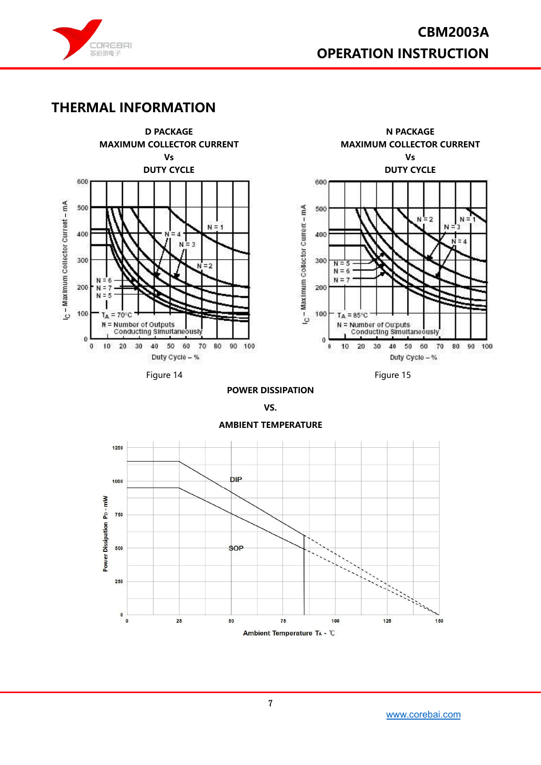

### **THERMAL INFORMATION**





Figure 14

Figure 15

#### **POWER DISSIPATION**

**VS.**



#### **AMBIENT TEMPERATURE**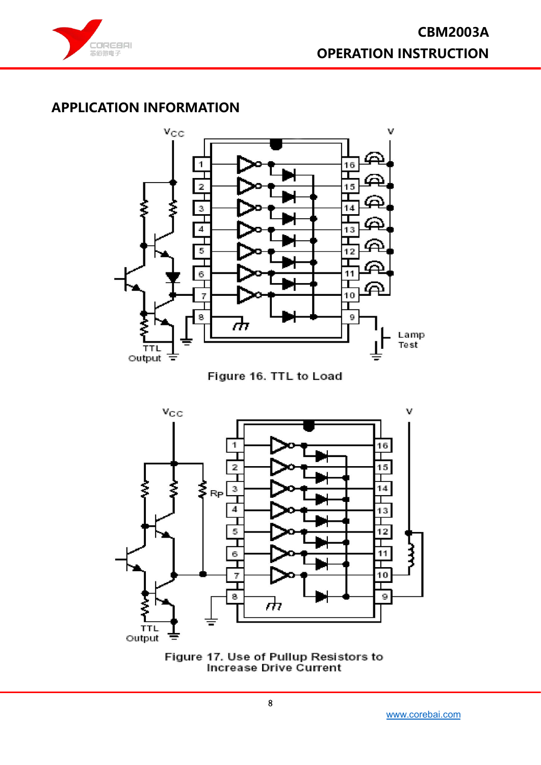

### **APPLICATION INFORMATION**



Figure 16. TTL to Load



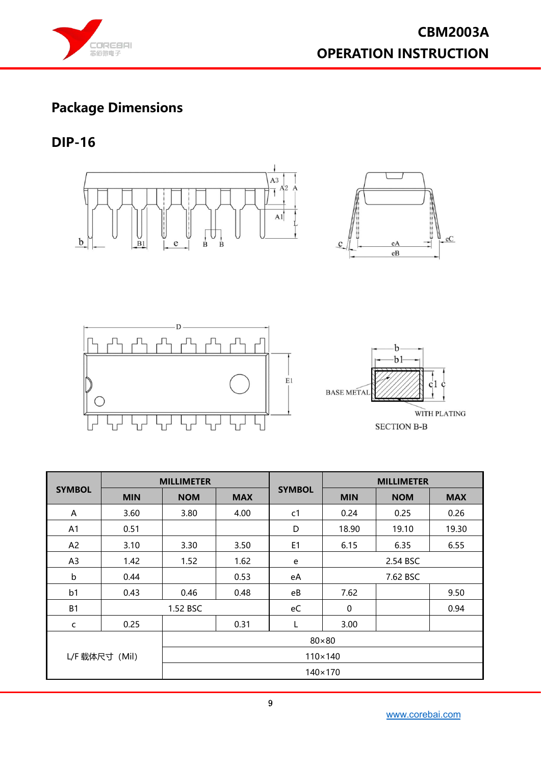

 $ec$ 

# **Package Dimensions**

### **DIP-16**







|                |                | <b>MILLIMETER</b> |                |                | <b>MILLIMETER</b> |            |            |  |  |  |
|----------------|----------------|-------------------|----------------|----------------|-------------------|------------|------------|--|--|--|
| <b>SYMBOL</b>  | <b>MIN</b>     | <b>NOM</b>        | <b>MAX</b>     | <b>SYMBOL</b>  | <b>MIN</b>        | <b>NOM</b> | <b>MAX</b> |  |  |  |
| A              | 3.60           | 3.80              | 4.00           | c1             | 0.24              | 0.25       | 0.26       |  |  |  |
| A <sub>1</sub> | 0.51           |                   |                | D              | 18.90             | 19.10      | 19.30      |  |  |  |
| A <sup>2</sup> | 3.10           | 3.30              | 3.50           | E <sub>1</sub> | 6.15              | 6.35       | 6.55       |  |  |  |
| A <sub>3</sub> | 1.42           | 1.52              | 1.62           | e              | 2.54 BSC          |            |            |  |  |  |
| $\mathsf b$    | 0.44           |                   | 0.53           | eA             | 7.62 BSC          |            |            |  |  |  |
| b <sub>1</sub> | 0.43           | 0.46              | 0.48           | eB             | 7.62              |            | 9.50       |  |  |  |
| <b>B1</b>      |                | 1.52 BSC          |                | eC             | $\mathbf 0$       |            | 0.94       |  |  |  |
| C              | 0.25           |                   | 0.31           | L              | 3.00              |            |            |  |  |  |
| $80\times80$   |                |                   |                |                |                   |            |            |  |  |  |
|                | L/F 载体尺寸 (Mil) |                   | $110\times140$ |                |                   |            |            |  |  |  |
|                |                |                   |                |                | $140\times170$    |            |            |  |  |  |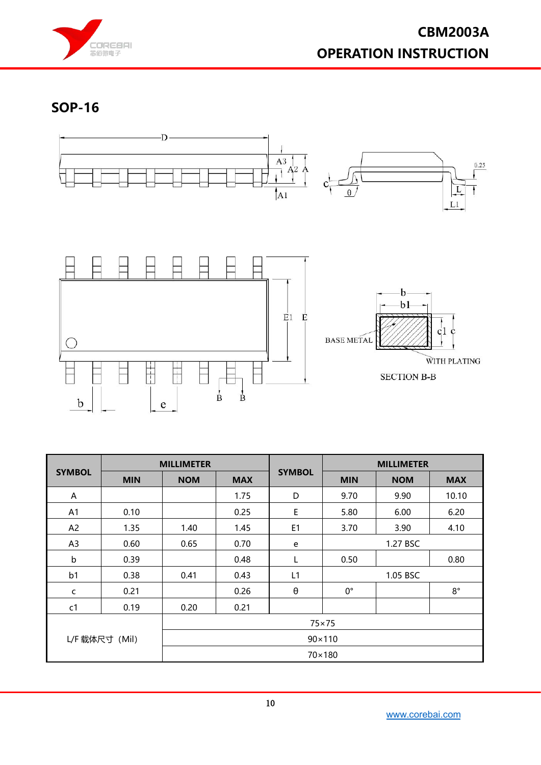

**SOP-16**



|                | <b>MILLIMETER</b> |            |                 |                       | <b>MILLIMETER</b> |            |             |  |  |  |  |
|----------------|-------------------|------------|-----------------|-----------------------|-------------------|------------|-------------|--|--|--|--|
| <b>SYMBOL</b>  | <b>MIN</b>        | <b>NOM</b> | <b>MAX</b>      | <b>SYMBOL</b>         | <b>MIN</b>        | <b>NOM</b> | <b>MAX</b>  |  |  |  |  |
| A              |                   |            | 1.75            | D                     | 9.70              | 9.90       | 10.10       |  |  |  |  |
| A1             | 0.10              |            | 0.25            | E                     | 5.80              | 6.00       | 6.20        |  |  |  |  |
| A <sup>2</sup> | 1.35              | 1.40       | 1.45            | E <sub>1</sub>        | 3.70              | 3.90       | 4.10        |  |  |  |  |
| A <sub>3</sub> | 0.60              | 0.65       | 0.70            | e                     | 1.27 BSC          |            |             |  |  |  |  |
| $\mathsf b$    | 0.39              |            | 0.48            | L                     | 0.50              |            | 0.80        |  |  |  |  |
| b <sub>1</sub> | 0.38              | 0.41       | 0.43            | L1                    | 1.05 BSC          |            |             |  |  |  |  |
| c              | 0.21              |            | 0.26            | $\boldsymbol{\theta}$ | $0^{\circ}$       |            | $8^{\circ}$ |  |  |  |  |
| c1             | 0.19              | 0.20       | 0.21            |                       |                   |            |             |  |  |  |  |
|                |                   |            |                 |                       | $75 \times 75$    |            |             |  |  |  |  |
|                | L/F 载体尺寸 (Mil)    |            | $90 \times 110$ |                       |                   |            |             |  |  |  |  |
|                |                   |            |                 |                       | 70×180            |            |             |  |  |  |  |